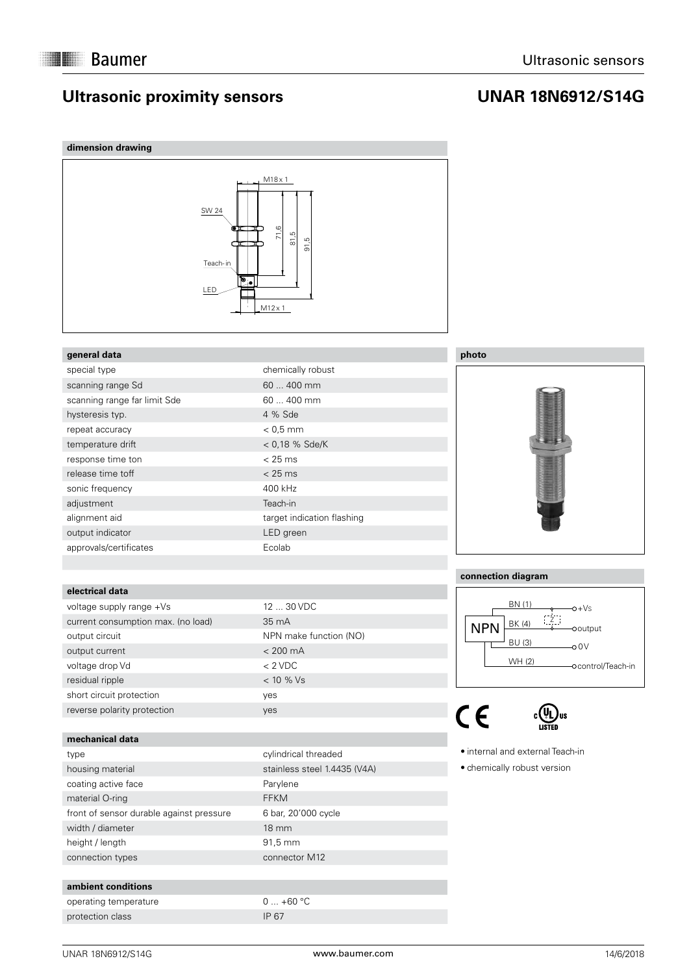## **Ultrasonic proximity sensors**

## **UNAR 18N6912/S14G**

## **dimension drawing**



## **general data**

| special type                 | chemically robust          |
|------------------------------|----------------------------|
| scanning range Sd            | 60  400 mm                 |
| scanning range far limit Sde | 60  400 mm                 |
| hysteresis typ.              | 4 % Sde                    |
| repeat accuracy              | $< 0.5$ mm                 |
| temperature drift            | $< 0.18$ % Sde/K           |
| response time ton            | $< 25$ ms                  |
| release time toff            | $< 25$ ms                  |
| sonic frequency              | 400 kHz                    |
| adjustment                   | Teach-in                   |
| alignment aid                | target indication flashing |
| output indicator             | LED green                  |
| approvals/certificates       | Ecolab                     |

## **electrical data**

| voltage supply range +Vs           | 12 <sub>1</sub> |
|------------------------------------|-----------------|
| current consumption max. (no load) | 35 <sub>1</sub> |
| output circuit                     | <b>NP</b>       |
| output current                     | $\lt 2$         |
| voltage drop Vd                    | $\lt 2$         |
| residual ripple                    | $<$ 1           |
| short circuit protection           | yes             |
| reverse polarity protection        | ves             |

### **mechanical data**

| type                                     |
|------------------------------------------|
| housing material                         |
| coating active face                      |
| material O-ring                          |
| front of sensor durable against pressure |
| width / diameter                         |
| height / length                          |
| connection types                         |

#### **ambient conditions**

operating temperature  $0 ... +60 °C$ protection class IP 67

# 12 ... 30 VDC 35 mA NPN make function (NO)  $<$  200 mA  $< 2$  VDC  $< 10 %$  Vs

## cylindrical threaded stainless steel 1.4435 (V4A) Parylene FFKM 6 bar, 20'000 cycle 18 mm 91,5 mm connector M12



## **connection diagram**



 $C<sub>f</sub>$ 



 internal and external Teach-in

 chemically robust version